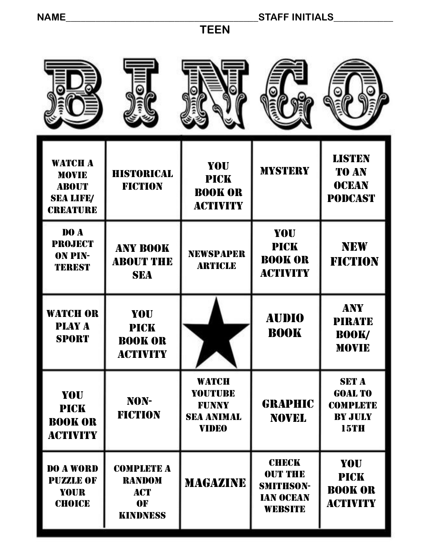**TEEN**

| <b>WATCH A</b><br><b>MOVIE</b><br><b>ABOUT</b><br><b>SEA LIFE/</b><br><b>CREATURE</b> | <b>HISTORICAL</b><br><b>FICTION</b>                                       | <b>YOU</b><br><b>PICK</b><br><b>BOOK OR</b><br><b>ACTIVITY</b>               | <b>MYSTERY</b>                                                                           | <b>LISTEN</b><br><b>TO AN</b><br><b>OCEAN</b><br><b>PODCAST</b>                    |
|---------------------------------------------------------------------------------------|---------------------------------------------------------------------------|------------------------------------------------------------------------------|------------------------------------------------------------------------------------------|------------------------------------------------------------------------------------|
| DO A<br><b>PROJECT</b><br><b>ON PIN-</b><br><b>TEREST</b>                             | <b>ANY BOOK</b><br><b>ABOUT THE</b><br><b>SEA</b>                         | <b>NEWSPAPER</b><br><b>ARTICLE</b>                                           | <b>YOU</b><br><b>PICK</b><br><b>BOOK OR</b><br><b>ACTIVITY</b>                           | <b>NEW</b><br><b>FICTION</b>                                                       |
| <b>WATCH OR</b><br><b>PLAY A</b><br><b>SPORT</b>                                      | <b>YOU</b><br><b>PICK</b><br><b>BOOK OR</b><br><b>ACTIVITY</b>            |                                                                              | <b>AUDIO</b><br><b>BOOK</b>                                                              | <b>ANY</b><br><b>PIRATE</b><br><b>BOOK/</b><br><b>MOVIE</b>                        |
| <b>YOU</b><br><b>PICK</b><br><b>BOOK OR</b><br><b>ACTIVITY</b>                        | NON-<br><b>FICTION</b>                                                    | <b>WATCH</b><br>YOUTUBE<br><b>FUNNY</b><br><b>SEA ANIMAL</b><br><b>VIDEO</b> | <b>GRAPHIC</b><br><b>NOVEL</b>                                                           | <b>SET A</b><br><b>GOAL TO</b><br><b>COMPLETE</b><br><b>BY JULY</b><br><b>15TH</b> |
| DO A WORD<br><b>PUZZLE OF</b><br><b>YOUR</b><br><b>CHOICE</b>                         | <b>COMPLETE A</b><br><b>RANDOM</b><br><b>ACT</b><br>0F<br><b>KINDNESS</b> | <b>MAGAZINE</b>                                                              | <b>CHECK</b><br><b>OUT THE</b><br><b>SMITHSON-</b><br><b>IAN OCEAN</b><br><b>WEBSITE</b> | <b>YOU</b><br><b>PICK</b><br><b>BOOK OR</b><br><b>ACTIVITY</b>                     |